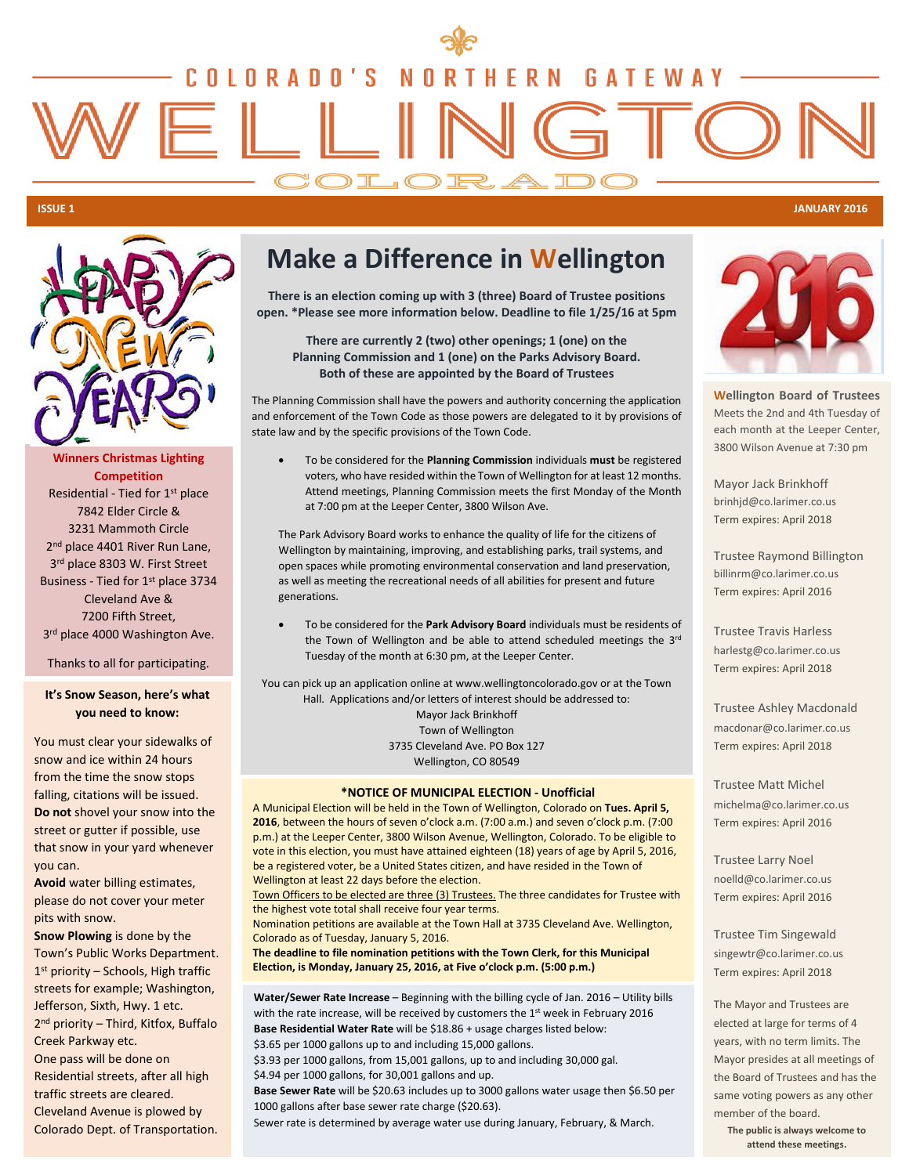# <u>OLORADO'S</u> N THERN GATEWAY  $\mathsf{R}$  $=$   $\parallel$ COLORADO

### **ISSUE 1 JANUARY 2016**



**Winners Christmas Lighting Competition**  Residential - Tied for 1st place 7842 Elder Circle & 3231 Mammoth Circle 2<sup>nd</sup> place 4401 River Run Lane, 3rd place 8303 W. First Street Business - Tied for 1st place 3734 Cleveland Ave & 7200 Fifth Street, 3<sup>rd</sup> place 4000 Washington Ave.

Thanks to all for participating.

### **It's Snow Season, here's what you need to know:**

You must clear your sidewalks of snow and ice within 24 hours from the time the snow stops falling, citations will be issued. **Do not** shovel your snow into the street or gutter if possible, use that snow in your yard whenever you can.

**Avoid** water billing estimates, please do not cover your meter pits with snow.

**Snow Plowing** is done by the Town's Public Works Department. 1<sup>st</sup> priority - Schools, High traffic streets for example; Washington, Jefferson, Sixth, Hwy. 1 etc. 2<sup>nd</sup> priority - Third, Kitfox, Buffalo Creek Parkway etc. One pass will be done on Residential streets, after all high traffic streets are cleared. Cleveland Avenue is plowed by

Colorado Dept. of Transportation.

# **Make a Difference in Wellington**

**There is an election coming up with 3 (three) Board of Trustee positions open. \*Please see more information below. Deadline to file 1/25/16 at 5pm**

**There are currently 2 (two) other openings; 1 (one) on the Planning Commission and 1 (one) on the Parks Advisory Board. Both of these are appointed by the Board of Trustees**

The Planning Commission shall have the powers and authority concerning the application and enforcement of the Town Code as those powers are delegated to it by provisions of state law and by the specific provisions of the Town Code.

• To be considered for the **Planning Commission** individuals **must** be registered voters, who have resided within the Town of Wellington for at least 12 months. Attend meetings, Planning Commission meets the first Monday of the Month at 7:00 pm at the Leeper Center, 3800 Wilson Ave.

The Park Advisory Board works to enhance the quality of life for the citizens of Wellington by maintaining, improving, and establishing parks, trail systems, and open spaces while promoting environmental conservation and land preservation, as well as meeting the recreational needs of all abilities for present and future generations.

• To be considered for the **Park Advisory Board** individuals must be residents of the Town of Wellington and be able to attend scheduled meetings the 3rd Tuesday of the month at 6:30 pm, at the Leeper Center.

You can pick up an application online at www.wellingtoncolorado.gov or at the Town Hall. Applications and/or letters of interest should be addressed to: Mayor Jack Brinkhoff Town of Wellington 3735 Cleveland Ave. PO Box 127 Wellington, CO 80549

### **\*NOTICE OF MUNICIPAL ELECTION - Unofficial**

A Municipal Election will be held in the Town of Wellington, Colorado on **Tues. April 5, 2016**, between the hours of seven o'clock a.m. (7:00 a.m.) and seven o'clock p.m. (7:00 p.m.) at the Leeper Center, 3800 Wilson Avenue, Wellington, Colorado. To be eligible to vote in this election, you must have attained eighteen (18) years of age by April 5, 2016, be a registered voter, be a United States citizen, and have resided in the Town of Wellington at least 22 days before the election.

Town Officers to be elected are three (3) Trustees. The three candidates for Trustee with the highest vote total shall receive four year terms.

Nomination petitions are available at the Town Hall at 3735 Cleveland Ave. Wellington,

Colorado as of Tuesday, January 5, 2016. **The deadline to file nomination petitions with the Town Clerk, for this Municipal Election, is Monday, January 25, 2016, at Five o'clock p.m. (5:00 p.m.)**

**Water/Sewer Rate Increase** – Beginning with the billing cycle of Jan. 2016 – Utility bills with the rate increase, will be received by customers the 1st week in February 2016 **Base Residential Water Rate** will be \$18.86 + usage charges listed below: \$3.65 per 1000 gallons up to and including 15,000 gallons.

\$3.93 per 1000 gallons, from 15,001 gallons, up to and including 30,000 gal. \$4.94 per 1000 gallons, for 30,001 gallons and up.

**Base Sewer Rate** will be \$20.63 includes up to 3000 gallons water usage then \$6.50 per 1000 gallons after base sewer rate charge (\$20.63).

Sewer rate is determined by average water use during January, February, & March.



**Wellington Board of Trustees** Meets the 2nd and 4th Tuesday of each month at the Leeper Center, 3800 Wilson Avenue at 7:30 pm

Mayor Jack Brinkhoff brinhjd@co.larimer.co.us Term expires: April 2018

Trustee Raymond Billington billinrm@co.larimer.co.us Term expires: April 2016

Trustee Travis Harless harlestg@co.larimer.co.us Term expires: April 2018

Trustee Ashley Macdonald macdonar@co.larimer.co.us Term expires: April 2018

Trustee Matt Michel michelma@co.larimer.co.us Term expires: April 2016

Trustee Larry Noel noelld@co.larimer.co.us Term expires: April 2016

Trustee Tim Singewald singewtr@co.larimer.co.us Term expires: April 2018

The Mayor and Trustees are elected at large for terms of 4 years, with no term limits. The Mayor presides at all meetings of the Board of Trustees and has the same voting powers as any other member of the board.

**The public is always welcome to attend these meetings.**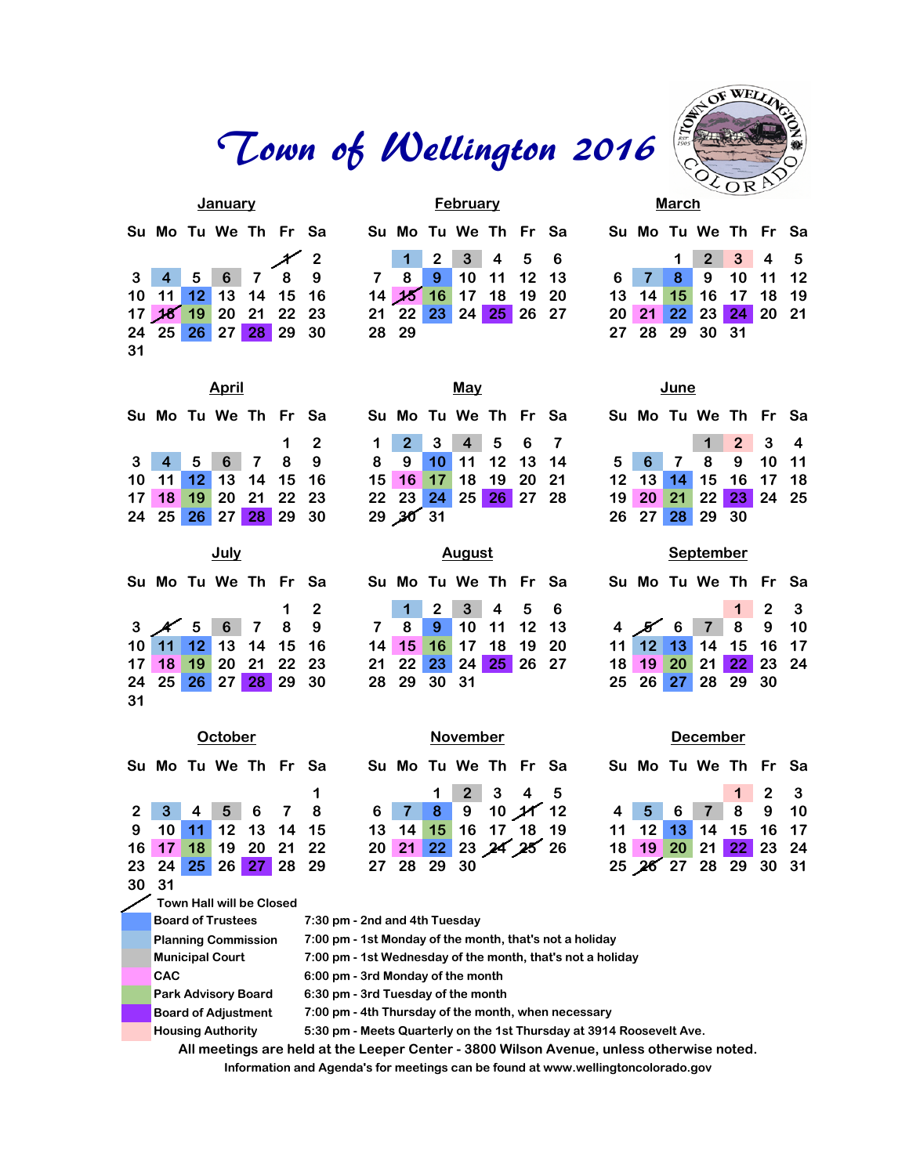# Town of Wellington 2016

|    |  | January              |  |                                 |                      | <b>February</b> |  |  |                      | March |                                     |  |
|----|--|----------------------|--|---------------------------------|----------------------|-----------------|--|--|----------------------|-------|-------------------------------------|--|
|    |  | Su Mo Tu We Th Fr Sa |  |                                 | Su Mo Tu We Th Fr Sa |                 |  |  | Su Mo Tu We Th Fr Sa |       |                                     |  |
|    |  |                      |  | 3 4 5 6 7 8 9 7 8 9 10 11 12 13 |                      |                 |  |  |                      |       | $1 \quad 2 \quad 3 \quad 4 \quad 5$ |  |
|    |  |                      |  |                                 |                      |                 |  |  | 6 7 8 9 10 11 12     |       |                                     |  |
|    |  | 10 11 12 13 14 15 16 |  |                                 | 14 15 16 17 18 19 20 |                 |  |  | 13 14 15 16 17 18 19 |       |                                     |  |
|    |  | 17 18 19 20 21 22 23 |  |                                 | 21 22 23 24 25 26 27 |                 |  |  | 20 21 22 23 24 20 21 |       |                                     |  |
|    |  | 24 25 26 27 28 29 30 |  |                                 | 28 29                |                 |  |  | 27 28 29 30 31       |       |                                     |  |
| 31 |  |                      |  |                                 |                      |                 |  |  |                      |       |                                     |  |
|    |  |                      |  |                                 |                      |                 |  |  |                      |       |                                     |  |

|                             | January |  |                   |                      | February |  |  | March |                      |  |  |
|-----------------------------|---------|--|-------------------|----------------------|----------|--|--|-------|----------------------|--|--|
| <b>Su Mo Tu We Th Fr Sa</b> |         |  |                   | Su Mo Tu We Th Fr Sa |          |  |  |       | Su Mo Tu We Th Fr Sa |  |  |
| 3   4   5   6   7   8   9   |         |  |                   | 1 2 3 4 5 6          |          |  |  |       | 1 2 3 4 5            |  |  |
|                             |         |  | 7 8 9 10 11 12 13 |                      |          |  |  |       | 6 7 8 9 10 11 12     |  |  |
| I0 11 12 13 14 15 16        |         |  |                   | 14 15 16 17 18 19 20 |          |  |  |       | 13 14 15 16 17 18 19 |  |  |
| 17 18 19 20 21 22 23        |         |  |                   | 21 22 23 24 25 26 27 |          |  |  |       | 20 21 22 23 24 20 21 |  |  |
| 24 25 26 27 28 29 30        |         |  |                   | 28 29                |          |  |  |       | 27 28 29 30 31       |  |  |
|                             |         |  |                   |                      |          |  |  |       |                      |  |  |

| WELLY       |  |
|-------------|--|
|             |  |
|             |  |
|             |  |
| $\mathsf R$ |  |

|  | <b>March</b> |                                     |  |  |
|--|--------------|-------------------------------------|--|--|
|  |              | Su Mo Tu We Th Fr Sa                |  |  |
|  |              | $1 \quad 2 \quad 3 \quad 4 \quad 5$ |  |  |
|  |              | 6 7 8 9 10 11 12                    |  |  |
|  |              | 13 14 15 16 17 18 19                |  |  |
|  |              | 20 21 22 23 24 20 21                |  |  |
|  |              | 27 28 29 30 31                      |  |  |
|  |              |                                     |  |  |

| APU II |  |                    |  |  |                                       |  |  |  |  |  |  |  |
|--------|--|--------------------|--|--|---------------------------------------|--|--|--|--|--|--|--|
|        |  | ∣Mo Tu We Th Fr Sa |  |  |                                       |  |  |  |  |  |  |  |
|        |  |                    |  |  | $\begin{array}{cc} 1 & 2 \end{array}$ |  |  |  |  |  |  |  |
|        |  | 4 5 6 7 8 9        |  |  |                                       |  |  |  |  |  |  |  |
|        |  | 11 12 13 14 15 16  |  |  |                                       |  |  |  |  |  |  |  |
|        |  | 18 19 20 21 22 23  |  |  |                                       |  |  |  |  |  |  |  |
|        |  | 25 26 27 28 29 30  |  |  |                                       |  |  |  |  |  |  |  |
|        |  |                    |  |  |                                       |  |  |  |  |  |  |  |

|  |  | Su Mo Tu We Th Fr Sa                           |             |  |
|--|--|------------------------------------------------|-------------|--|
|  |  |                                                | $1 \quad 2$ |  |
|  |  | $3 \times 5 = 6$ 7 8 9<br>10 11 12 13 14 15 16 |             |  |
|  |  |                                                |             |  |
|  |  | 17 18 19 20 21 22 23                           |             |  |
|  |  | 24 25 26 27 28 29 30                           |             |  |

| April |  |                      |  |  |            |  |                      | <u>May</u> |  |  | June |                |                                                 |  |
|-------|--|----------------------|--|--|------------|--|----------------------|------------|--|--|------|----------------|-------------------------------------------------|--|
|       |  | Su Mo Tu We Th Fr Sa |  |  |            |  | Su Mo Tu We Th Fr Sa |            |  |  |      |                | Su Mo Tu We Th Fr Sa                            |  |
|       |  |                      |  |  | $1\quad 2$ |  | 1 2 3 4 5 6 7        |            |  |  |      |                | $\begin{array}{cccc} 1 & 2 & 3 & 4 \end{array}$ |  |
|       |  | 3 4 5 6 7 8 9        |  |  |            |  | 8 9 10 11 12 13 14   |            |  |  |      |                | 5 6 7 8 9 10 11                                 |  |
|       |  | 10 11 12 13 14 15 16 |  |  |            |  | 15 16 17 18 19 20 21 |            |  |  |      |                | 12 13 14 15 16 17 18                            |  |
|       |  | 17 18 19 20 21 22 23 |  |  |            |  | 22 23 24 25 26 27 28 |            |  |  |      |                | 19 20 21 22 23 24 25                            |  |
|       |  | 24 25 26 27 28 29 30 |  |  |            |  | 29,30,31             |            |  |  |      | 26 27 28 29 30 |                                                 |  |
|       |  |                      |  |  |            |  |                      |            |  |  |      |                |                                                 |  |

| July |  |                      |  |  |            |                                 |                      | August |  |  |  | <b>September</b>     |  |  |
|------|--|----------------------|--|--|------------|---------------------------------|----------------------|--------|--|--|--|----------------------|--|--|
|      |  | Su Mo Tu We Th Fr Sa |  |  |            |                                 | Su Mo Tu We Th Fr Sa |        |  |  |  | Su Mo Tu We Th Fr Sa |  |  |
|      |  |                      |  |  | $1\quad 2$ |                                 | 1 2 3 4 5 6          |        |  |  |  |                      |  |  |
|      |  |                      |  |  |            | 3 4 5 6 7 8 9 7 8 9 10 11 12 13 |                      |        |  |  |  | 45678910             |  |  |
|      |  | 10 11 12 13 14 15 16 |  |  |            |                                 | 14 15 16 17 18 19 20 |        |  |  |  | 11 12 13 14 15 16 17 |  |  |
|      |  | 17 18 19 20 21 22 23 |  |  |            |                                 | 21 22 23 24 25 26 27 |        |  |  |  | 18 19 20 21 22 23 24 |  |  |
|      |  | 24 25 26 27 28 29 30 |  |  |            |                                 | 28 29 30 31          |        |  |  |  | 25 26 27 28 29 30    |  |  |

| June |                      |                     |  |
|------|----------------------|---------------------|--|
|      | Su Mo Tu We Th Fr Sa |                     |  |
|      |                      | $2 \quad 3 \quad 4$ |  |
|      | 5 6 7 8 9 10 11      |                     |  |
|      | 12 13 14 15 16 17 18 |                     |  |
|      | 19 20 21 22 23 24 25 |                     |  |
|      | 26 27 28 29 30       |                     |  |

| $\sim$ $\sim$ $\sim$ $\sim$ $\sim$ $\sim$ |  |                                        |  |                     |  |  |  |  |  |  |
|-------------------------------------------|--|----------------------------------------|--|---------------------|--|--|--|--|--|--|
|                                           |  | Su Mo Tu We Th Fr Sa                   |  |                     |  |  |  |  |  |  |
|                                           |  |                                        |  | $1 \quad 2 \quad 3$ |  |  |  |  |  |  |
|                                           |  | 4 8 6 7 8 9 10<br>11 12 13 14 15 16 17 |  |                     |  |  |  |  |  |  |
|                                           |  |                                        |  |                     |  |  |  |  |  |  |
|                                           |  | 18 19 20 21 22 23 24                   |  |                     |  |  |  |  |  |  |
|                                           |  | 25 26 27 28 29 30                      |  |                     |  |  |  |  |  |  |
|                                           |  |                                        |  |                     |  |  |  |  |  |  |

| October              |    |             |  |  |  |  |             |  | November |                      |  |                      | <b>December</b> |          |                     |  |
|----------------------|----|-------------|--|--|--|--|-------------|--|----------|----------------------|--|----------------------|-----------------|----------|---------------------|--|
| Su Mo Tu We Th Fr Sa |    |             |  |  |  |  |             |  |          | Su Mo Tu We Th Fr Sa |  | Su Mo Tu We Th Fr Sa |                 |          |                     |  |
|                      |    |             |  |  |  |  |             |  |          | $1 \ 2 \ 3 \ 4 \ 5$  |  |                      |                 |          | $1 \quad 2 \quad 3$ |  |
| 2 3 4 5 6 7 8        |    |             |  |  |  |  |             |  |          | $6$ 7 8 9 10 11 12   |  | $4 \quad 5 \quad 6$  |                 | 7 8 9 10 |                     |  |
| 9 10 11 12 13 14 15  |    |             |  |  |  |  | $13 \t14$   |  |          | 15 16 17 18 19       |  | 11 12 13 14 15 16 17 |                 |          |                     |  |
| $16$ 17              | 18 | 19 20 21 22 |  |  |  |  |             |  |          | 20 21 22 23 24 25 26 |  | $18$ 19              | 20 21 22 23 24  |          |                     |  |
| 23 24 25 26 27 28 29 |    |             |  |  |  |  | 27 28 29 30 |  |          |                      |  | 25 26 27 28 29 30 31 |                 |          |                     |  |
| <b>20.24</b>         |    |             |  |  |  |  |             |  |          |                      |  |                      |                 |          |                     |  |

**30 31**

**31**

**Town Hall will be Closed**

| <b>Board of Trustees</b>   | 7:30 pm - 2nd and 4th Tuesday                                                            |
|----------------------------|------------------------------------------------------------------------------------------|
| <b>Planning Commission</b> | 7:00 pm - 1st Monday of the month, that's not a holiday                                  |
| <b>Municipal Court</b>     | 7:00 pm - 1st Wednesday of the month, that's not a holiday                               |
| <b>CAC</b>                 | 6:00 pm - 3rd Monday of the month                                                        |
| <b>Park Advisory Board</b> | 6:30 pm - 3rd Tuesday of the month                                                       |
| <b>Board of Adjustment</b> | 7:00 pm - 4th Thursday of the month, when necessary                                      |
| <b>Housing Authority</b>   | 5:30 pm - Meets Quarterly on the 1st Thursday at 3914 Roosevelt Ave.                     |
|                            | All meetings are held at the Leeper Center - 3800 Wilson Avenue, unless otherwise noted. |
|                            | Information and Agenda's for meetings can be found at www.wellingtoncolorado.gov         |